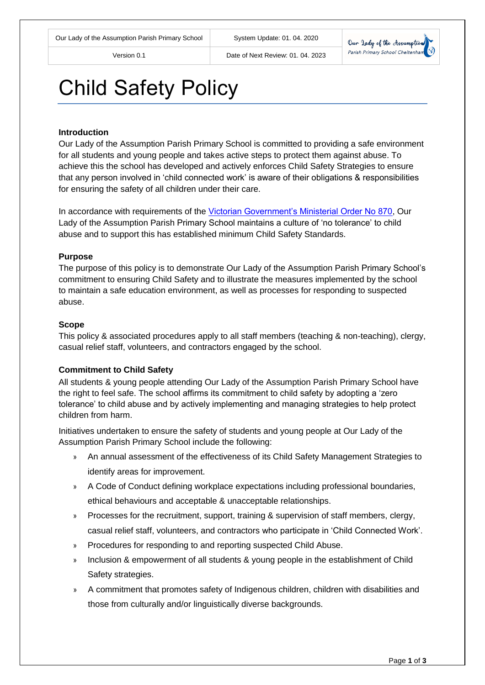

# Child Safety Policy

#### **Introduction**

Our Lady of the Assumption Parish Primary School is committed to providing a safe environment for all students and young people and takes active steps to protect them against abuse. To achieve this the school has developed and actively enforces Child Safety Strategies to ensure that any person involved in 'child connected work' is aware of their obligations & responsibilities for ensuring the safety of all children under their care.

In accordance with requirements of the [Victorian Government's Ministerial Order No 870,](http://www.vrqa.vic.gov.au/Documents/ChSafMINOrder8702.pdf) Our Lady of the Assumption Parish Primary School maintains a culture of 'no tolerance' to child abuse and to support this has established minimum Child Safety Standards.

#### **Purpose**

The purpose of this policy is to demonstrate Our Lady of the Assumption Parish Primary School's commitment to ensuring Child Safety and to illustrate the measures implemented by the school to maintain a safe education environment, as well as processes for responding to suspected abuse.

#### **Scope**

This policy & associated procedures apply to all staff members (teaching & non-teaching), clergy, casual relief staff, volunteers, and contractors engaged by the school.

#### **Commitment to Child Safety**

All students & young people attending Our Lady of the Assumption Parish Primary School have the right to feel safe. The school affirms its commitment to child safety by adopting a 'zero tolerance' to child abuse and by actively implementing and managing strategies to help protect children from harm.

Initiatives undertaken to ensure the safety of students and young people at Our Lady of the Assumption Parish Primary School include the following:

- » An annual assessment of the effectiveness of its Child Safety Management Strategies to identify areas for improvement.
- » A Code of Conduct defining workplace expectations including professional boundaries, ethical behaviours and acceptable & unacceptable relationships.
- » Processes for the recruitment, support, training & supervision of staff members, clergy, casual relief staff, volunteers, and contractors who participate in 'Child Connected Work'.
- » Procedures for responding to and reporting suspected Child Abuse.
- » Inclusion & empowerment of all students & young people in the establishment of Child Safety strategies.
- » A commitment that promotes safety of Indigenous children, children with disabilities and those from culturally and/or linguistically diverse backgrounds.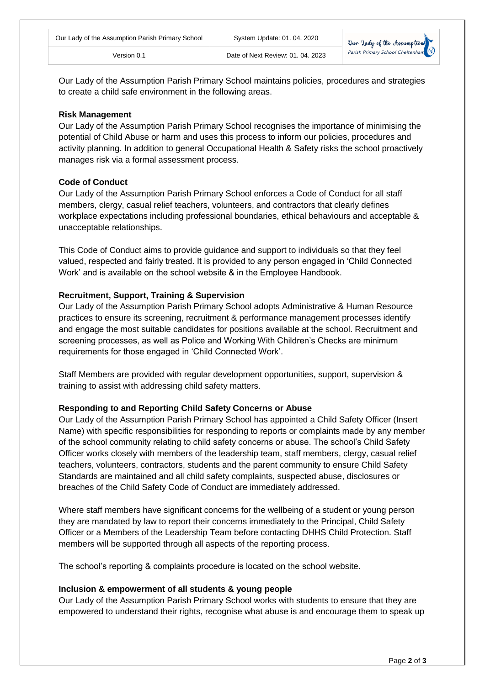Our Lady of the Assumption Parish Primary School maintains policies, procedures and strategies to create a child safe environment in the following areas.

### **Risk Management**

Our Lady of the Assumption Parish Primary School recognises the importance of minimising the potential of Child Abuse or harm and uses this process to inform our policies, procedures and activity planning. In addition to general Occupational Health & Safety risks the school proactively manages risk via a formal assessment process.

## **Code of Conduct**

Our Lady of the Assumption Parish Primary School enforces a Code of Conduct for all staff members, clergy, casual relief teachers, volunteers, and contractors that clearly defines workplace expectations including professional boundaries, ethical behaviours and acceptable & unacceptable relationships.

This Code of Conduct aims to provide guidance and support to individuals so that they feel valued, respected and fairly treated. It is provided to any person engaged in 'Child Connected Work' and is available on the school website & in the Employee Handbook.

## **Recruitment, Support, Training & Supervision**

Our Lady of the Assumption Parish Primary School adopts Administrative & Human Resource practices to ensure its screening, recruitment & performance management processes identify and engage the most suitable candidates for positions available at the school. Recruitment and screening processes, as well as Police and Working With Children's Checks are minimum requirements for those engaged in 'Child Connected Work'.

Staff Members are provided with regular development opportunities, support, supervision & training to assist with addressing child safety matters.

## **Responding to and Reporting Child Safety Concerns or Abuse**

Our Lady of the Assumption Parish Primary School has appointed a Child Safety Officer (Insert Name) with specific responsibilities for responding to reports or complaints made by any member of the school community relating to child safety concerns or abuse. The school's Child Safety Officer works closely with members of the leadership team, staff members, clergy, casual relief teachers, volunteers, contractors, students and the parent community to ensure Child Safety Standards are maintained and all child safety complaints, suspected abuse, disclosures or breaches of the Child Safety Code of Conduct are immediately addressed.

Where staff members have significant concerns for the wellbeing of a student or young person they are mandated by law to report their concerns immediately to the Principal, Child Safety Officer or a Members of the Leadership Team before contacting DHHS Child Protection. Staff members will be supported through all aspects of the reporting process.

The school's reporting & complaints procedure is located on the school website.

#### **Inclusion & empowerment of all students & young people**

Our Lady of the Assumption Parish Primary School works with students to ensure that they are empowered to understand their rights, recognise what abuse is and encourage them to speak up